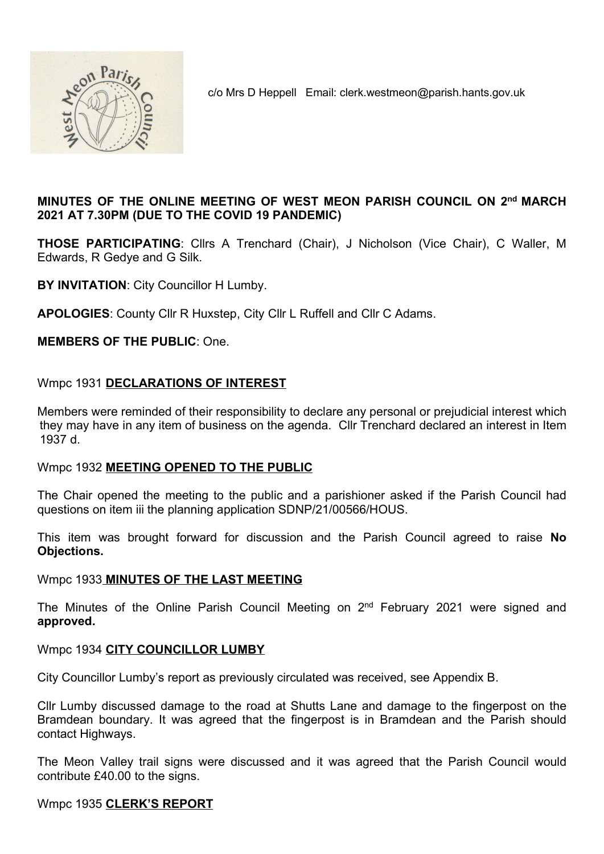

c/o Mrs D Heppell Email: clerk.westmeon@parish.hants.gov.uk

# MINUTES OF THE ONLINE MEETING OF WEST MEON PARISH COUNCIL ON 2nd MARCH 2021 AT 7.30PM (DUE TO THE COVID 19 PANDEMIC)

THOSE PARTICIPATING: Cllrs A Trenchard (Chair), J Nicholson (Vice Chair), C Waller, M Edwards, R Gedye and G Silk.

BY INVITATION: City Councillor H Lumby.

APOLOGIES: County Cllr R Huxstep, City Cllr L Ruffell and Cllr C Adams.

MEMBERS OF THE PUBLIC: One.

# Wmpc 1931 DECLARATIONS OF INTEREST

Members were reminded of their responsibility to declare any personal or prejudicial interest which they may have in any item of business on the agenda. Cllr Trenchard declared an interest in Item 1937 d.

## Wmpc 1932 MEETING OPENED TO THE PUBLIC

The Chair opened the meeting to the public and a parishioner asked if the Parish Council had questions on item iii the planning application SDNP/21/00566/HOUS.

This item was brought forward for discussion and the Parish Council agreed to raise No Objections.

## Wmpc 1933 MINUTES OF THE LAST MEETING

The Minutes of the Online Parish Council Meeting on 2<sup>nd</sup> February 2021 were signed and approved.

## Wmpc 1934 CITY COUNCILLOR LUMBY

City Councillor Lumby's report as previously circulated was received, see Appendix B.

Cllr Lumby discussed damage to the road at Shutts Lane and damage to the fingerpost on the Bramdean boundary. It was agreed that the fingerpost is in Bramdean and the Parish should contact Highways.

The Meon Valley trail signs were discussed and it was agreed that the Parish Council would contribute £40.00 to the signs.

## Wmpc 1935 CLERK'S REPORT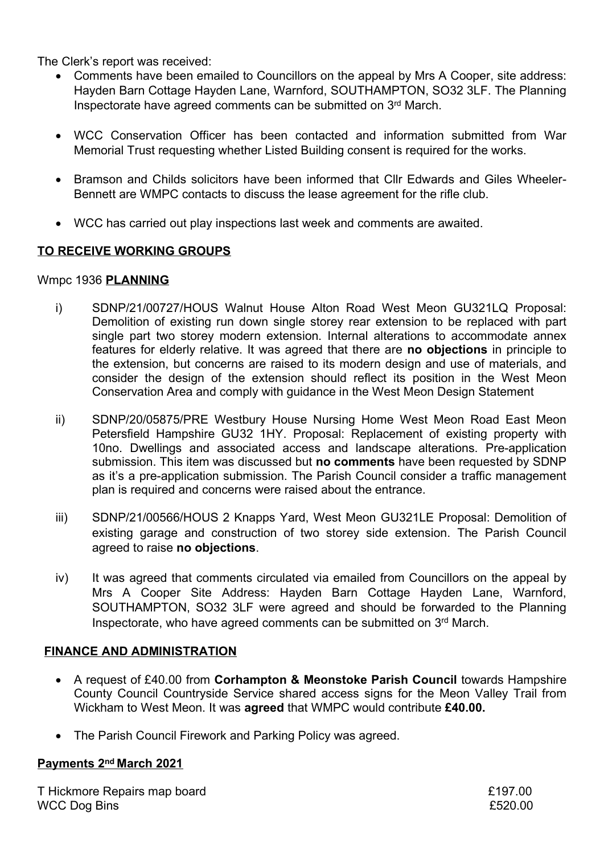The Clerk's report was received:

- Comments have been emailed to Councillors on the appeal by Mrs A Cooper, site address: Hayden Barn Cottage Hayden Lane, Warnford, SOUTHAMPTON, SO32 3LF. The Planning Inspectorate have agreed comments can be submitted on 3rd March.
- WCC Conservation Officer has been contacted and information submitted from War Memorial Trust requesting whether Listed Building consent is required for the works.
- Bramson and Childs solicitors have been informed that CIIr Edwards and Giles Wheeler-Bennett are WMPC contacts to discuss the lease agreement for the rifle club.
- WCC has carried out play inspections last week and comments are awaited.

# TO RECEIVE WORKING GROUPS

## Wmpc 1936 PLANNING

- i) SDNP/21/00727/HOUS Walnut House Alton Road West Meon GU321LQ Proposal: Demolition of existing run down single storey rear extension to be replaced with part single part two storey modern extension. Internal alterations to accommodate annex features for elderly relative. It was agreed that there are no objections in principle to the extension, but concerns are raised to its modern design and use of materials, and consider the design of the extension should reflect its position in the West Meon Conservation Area and comply with guidance in the West Meon Design Statement
- ii) SDNP/20/05875/PRE Westbury House Nursing Home West Meon Road East Meon Petersfield Hampshire GU32 1HY. Proposal: Replacement of existing property with 10no. Dwellings and associated access and landscape alterations. Pre-application submission. This item was discussed but no comments have been requested by SDNP as it's a pre-application submission. The Parish Council consider a traffic management plan is required and concerns were raised about the entrance.
- iii) SDNP/21/00566/HOUS 2 Knapps Yard, West Meon GU321LE Proposal: Demolition of existing garage and construction of two storey side extension. The Parish Council agreed to raise no objections.
- iv) It was agreed that comments circulated via emailed from Councillors on the appeal by Mrs A Cooper Site Address: Hayden Barn Cottage Hayden Lane, Warnford, SOUTHAMPTON, SO32 3LF were agreed and should be forwarded to the Planning Inspectorate, who have agreed comments can be submitted on 3rd March.

## FINANCE AND ADMINISTRATION

- A request of £40.00 from Corhampton & Meonstoke Parish Council towards Hampshire County Council Countryside Service shared access signs for the Meon Valley Trail from Wickham to West Meon. It was agreed that WMPC would contribute £40.00.
- The Parish Council Firework and Parking Policy was agreed.

# Payments 2nd March 2021

T Hickmore Repairs map board **EXALL EXACT SERVICE 200** WCC Dog Bins **£520.00**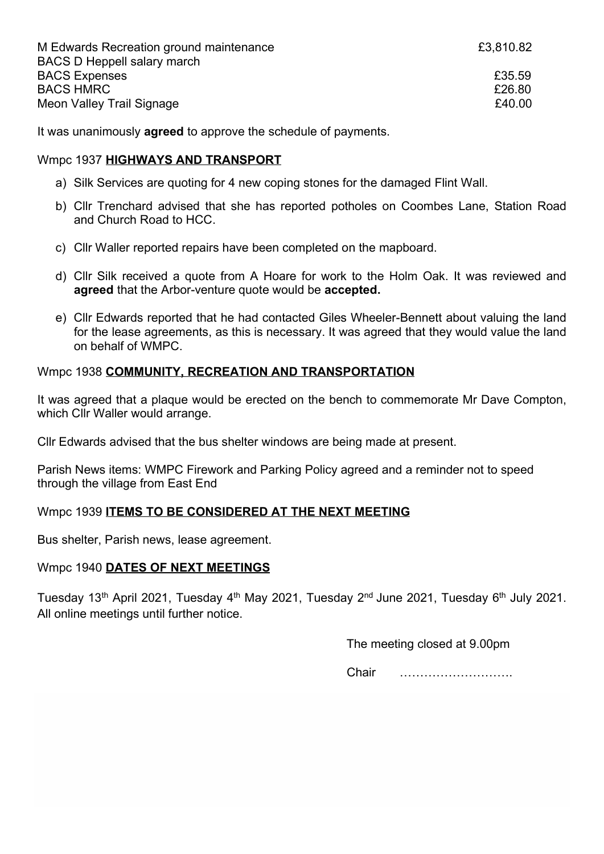| M Edwards Recreation ground maintenance | £3,810.82 |
|-----------------------------------------|-----------|
| <b>BACS D Heppell salary march</b>      |           |
| <b>BACS Expenses</b>                    | £35.59    |
| <b>BACS HMRC</b>                        | £26.80    |
| Meon Valley Trail Signage               | £40.00    |

It was unanimously **agreed** to approve the schedule of payments.

# Wmpc 1937 HIGHWAYS AND TRANSPORT

- a) Silk Services are quoting for 4 new coping stones for the damaged Flint Wall.
- b) Cllr Trenchard advised that she has reported potholes on Coombes Lane, Station Road and Church Road to HCC.
- c) Cllr Waller reported repairs have been completed on the mapboard.
- d) Cllr Silk received a quote from A Hoare for work to the Holm Oak. It was reviewed and agreed that the Arbor-venture quote would be accepted.
- e) Cllr Edwards reported that he had contacted Giles Wheeler-Bennett about valuing the land for the lease agreements, as this is necessary. It was agreed that they would value the land on behalf of WMPC.

# Wmpc 1938 COMMUNITY, RECREATION AND TRANSPORTATION

It was agreed that a plaque would be erected on the bench to commemorate Mr Dave Compton, which Cllr Waller would arrange.

Cllr Edwards advised that the bus shelter windows are being made at present.

Parish News items: WMPC Firework and Parking Policy agreed and a reminder not to speed through the village from East End

# Wmpc 1939 ITEMS TO BE CONSIDERED AT THE NEXT MEETING

Bus shelter, Parish news, lease agreement.

## Wmpc 1940 DATES OF NEXT MEETINGS

Tuesday 13<sup>th</sup> April 2021, Tuesday 4<sup>th</sup> May 2021, Tuesday 2<sup>nd</sup> June 2021, Tuesday 6<sup>th</sup> July 2021. All online meetings until further notice.

The meeting closed at 9.00pm

Chair ……………………….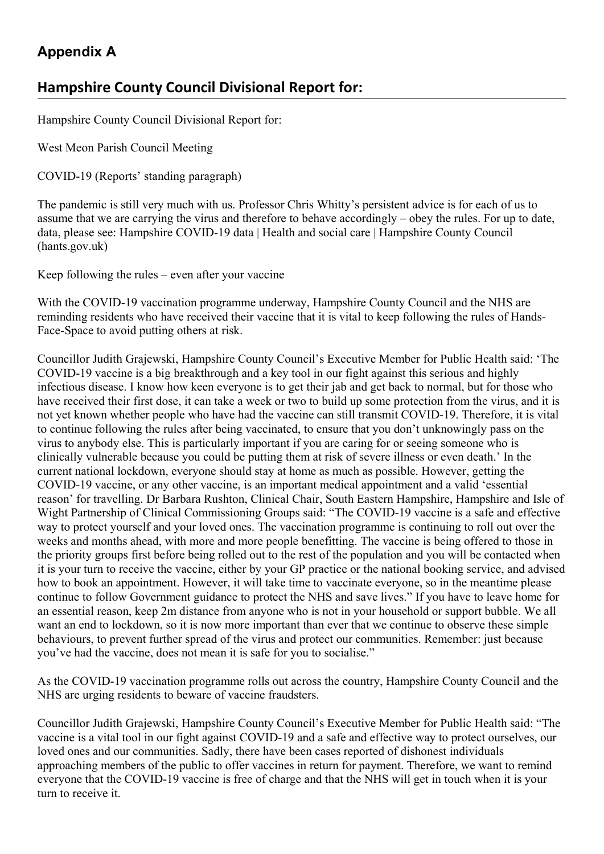# Appendix A

# Hampshire County Council Divisional Report for:

Hampshire County Council Divisional Report for:

West Meon Parish Council Meeting

COVID-19 (Reports' standing paragraph)

The pandemic is still very much with us. Professor Chris Whitty's persistent advice is for each of us to assume that we are carrying the virus and therefore to behave accordingly – obey the rules. For up to date, data, please see: Hampshire COVID-19 data | Health and social care | Hampshire County Council (hants.gov.uk)

Keep following the rules – even after your vaccine

With the COVID-19 vaccination programme underway, Hampshire County Council and the NHS are reminding residents who have received their vaccine that it is vital to keep following the rules of Hands-Face-Space to avoid putting others at risk.

Councillor Judith Grajewski, Hampshire County Council's Executive Member for Public Health said: 'The COVID-19 vaccine is a big breakthrough and a key tool in our fight against this serious and highly infectious disease. I know how keen everyone is to get their jab and get back to normal, but for those who have received their first dose, it can take a week or two to build up some protection from the virus, and it is not yet known whether people who have had the vaccine can still transmit COVID-19. Therefore, it is vital to continue following the rules after being vaccinated, to ensure that you don't unknowingly pass on the virus to anybody else. This is particularly important if you are caring for or seeing someone who is clinically vulnerable because you could be putting them at risk of severe illness or even death.' In the current national lockdown, everyone should stay at home as much as possible. However, getting the COVID-19 vaccine, or any other vaccine, is an important medical appointment and a valid 'essential reason' for travelling. Dr Barbara Rushton, Clinical Chair, South Eastern Hampshire, Hampshire and Isle of Wight Partnership of Clinical Commissioning Groups said: "The COVID-19 vaccine is a safe and effective way to protect yourself and your loved ones. The vaccination programme is continuing to roll out over the weeks and months ahead, with more and more people benefitting. The vaccine is being offered to those in the priority groups first before being rolled out to the rest of the population and you will be contacted when it is your turn to receive the vaccine, either by your GP practice or the national booking service, and advised how to book an appointment. However, it will take time to vaccinate everyone, so in the meantime please continue to follow Government guidance to protect the NHS and save lives." If you have to leave home for an essential reason, keep 2m distance from anyone who is not in your household or support bubble. We all want an end to lockdown, so it is now more important than ever that we continue to observe these simple behaviours, to prevent further spread of the virus and protect our communities. Remember: just because you've had the vaccine, does not mean it is safe for you to socialise."

As the COVID-19 vaccination programme rolls out across the country, Hampshire County Council and the NHS are urging residents to beware of vaccine fraudsters.

Councillor Judith Grajewski, Hampshire County Council's Executive Member for Public Health said: "The vaccine is a vital tool in our fight against COVID-19 and a safe and effective way to protect ourselves, our loved ones and our communities. Sadly, there have been cases reported of dishonest individuals approaching members of the public to offer vaccines in return for payment. Therefore, we want to remind everyone that the COVID-19 vaccine is free of charge and that the NHS will get in touch when it is your turn to receive it.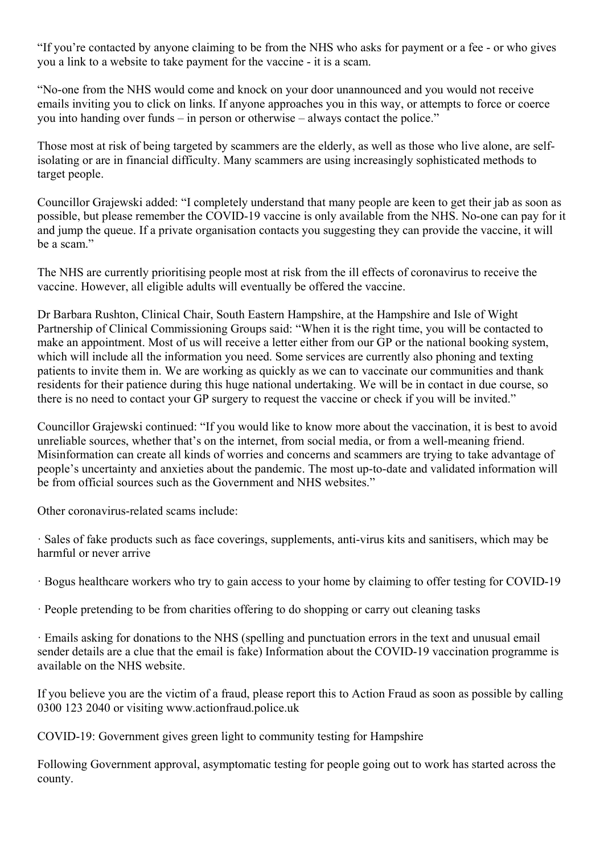"If you're contacted by anyone claiming to be from the NHS who asks for payment or a fee - or who gives you a link to a website to take payment for the vaccine - it is a scam.

"No-one from the NHS would come and knock on your door unannounced and you would not receive emails inviting you to click on links. If anyone approaches you in this way, or attempts to force or coerce you into handing over funds – in person or otherwise – always contact the police."

Those most at risk of being targeted by scammers are the elderly, as well as those who live alone, are selfisolating or are in financial difficulty. Many scammers are using increasingly sophisticated methods to target people.

Councillor Grajewski added: "I completely understand that many people are keen to get their jab as soon as possible, but please remember the COVID-19 vaccine is only available from the NHS. No-one can pay for it and jump the queue. If a private organisation contacts you suggesting they can provide the vaccine, it will be a scam."

The NHS are currently prioritising people most at risk from the ill effects of coronavirus to receive the vaccine. However, all eligible adults will eventually be offered the vaccine.

Dr Barbara Rushton, Clinical Chair, South Eastern Hampshire, at the Hampshire and Isle of Wight Partnership of Clinical Commissioning Groups said: "When it is the right time, you will be contacted to make an appointment. Most of us will receive a letter either from our GP or the national booking system, which will include all the information you need. Some services are currently also phoning and texting patients to invite them in. We are working as quickly as we can to vaccinate our communities and thank residents for their patience during this huge national undertaking. We will be in contact in due course, so there is no need to contact your GP surgery to request the vaccine or check if you will be invited."

Councillor Grajewski continued: "If you would like to know more about the vaccination, it is best to avoid unreliable sources, whether that's on the internet, from social media, or from a well-meaning friend. Misinformation can create all kinds of worries and concerns and scammers are trying to take advantage of people's uncertainty and anxieties about the pandemic. The most up-to-date and validated information will be from official sources such as the Government and NHS websites."

Other coronavirus-related scams include:

· Sales of fake products such as face coverings, supplements, anti-virus kits and sanitisers, which may be harmful or never arrive

· Bogus healthcare workers who try to gain access to your home by claiming to offer testing for COVID-19

· People pretending to be from charities offering to do shopping or carry out cleaning tasks

· Emails asking for donations to the NHS (spelling and punctuation errors in the text and unusual email sender details are a clue that the email is fake) Information about the COVID-19 vaccination programme is available on the NHS website.

If you believe you are the victim of a fraud, please report this to Action Fraud as soon as possible by calling 0300 123 2040 or visiting www.actionfraud.police.uk

COVID-19: Government gives green light to community testing for Hampshire

Following Government approval, asymptomatic testing for people going out to work has started across the county.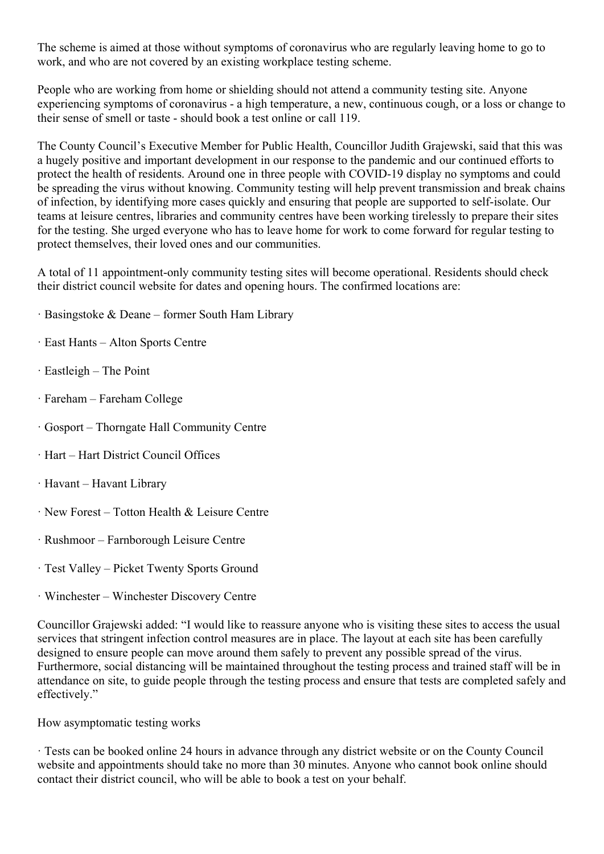The scheme is aimed at those without symptoms of coronavirus who are regularly leaving home to go to work, and who are not covered by an existing workplace testing scheme.

People who are working from home or shielding should not attend a community testing site. Anyone experiencing symptoms of coronavirus - a high temperature, a new, continuous cough, or a loss or change to their sense of smell or taste - should book a test online or call 119.

The County Council's Executive Member for Public Health, Councillor Judith Grajewski, said that this was a hugely positive and important development in our response to the pandemic and our continued efforts to protect the health of residents. Around one in three people with COVID-19 display no symptoms and could be spreading the virus without knowing. Community testing will help prevent transmission and break chains of infection, by identifying more cases quickly and ensuring that people are supported to self-isolate. Our teams at leisure centres, libraries and community centres have been working tirelessly to prepare their sites for the testing. She urged everyone who has to leave home for work to come forward for regular testing to protect themselves, their loved ones and our communities.

A total of 11 appointment-only community testing sites will become operational. Residents should check their district council website for dates and opening hours. The confirmed locations are:

- · Basingstoke & Deane former South Ham Library
- · East Hants Alton Sports Centre
- · Eastleigh The Point
- · Fareham Fareham College
- · Gosport Thorngate Hall Community Centre
- · Hart Hart District Council Offices
- · Havant Havant Library
- · New Forest Totton Health & Leisure Centre
- · Rushmoor Farnborough Leisure Centre
- · Test Valley Picket Twenty Sports Ground
- · Winchester Winchester Discovery Centre

Councillor Grajewski added: "I would like to reassure anyone who is visiting these sites to access the usual services that stringent infection control measures are in place. The layout at each site has been carefully designed to ensure people can move around them safely to prevent any possible spread of the virus. Furthermore, social distancing will be maintained throughout the testing process and trained staff will be in attendance on site, to guide people through the testing process and ensure that tests are completed safely and effectively."

#### How asymptomatic testing works

· Tests can be booked online 24 hours in advance through any district website or on the County Council website and appointments should take no more than 30 minutes. Anyone who cannot book online should contact their district council, who will be able to book a test on your behalf.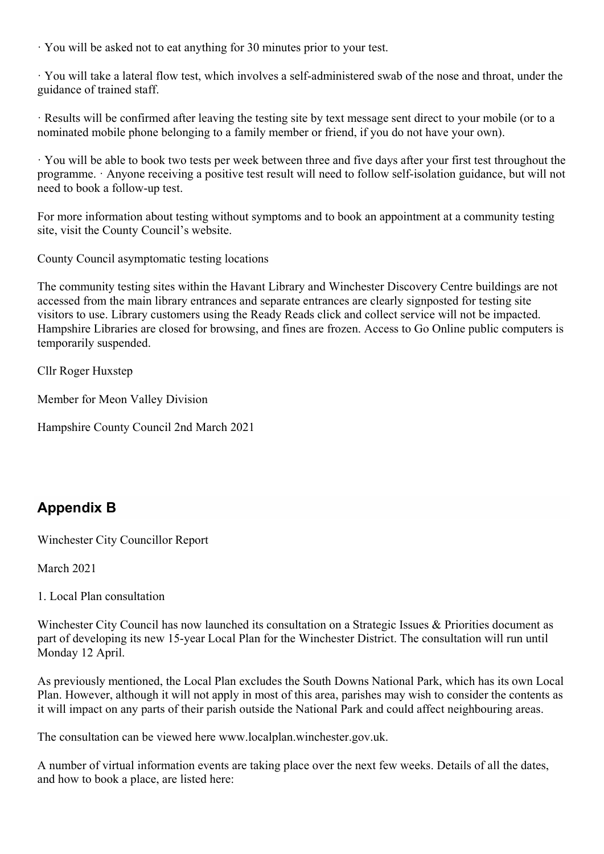· You will be asked not to eat anything for 30 minutes prior to your test.

· You will take a lateral flow test, which involves a self-administered swab of the nose and throat, under the guidance of trained staff.

· Results will be confirmed after leaving the testing site by text message sent direct to your mobile (or to a nominated mobile phone belonging to a family member or friend, if you do not have your own).

· You will be able to book two tests per week between three and five days after your first test throughout the programme. · Anyone receiving a positive test result will need to follow self-isolation guidance, but will not need to book a follow-up test.

For more information about testing without symptoms and to book an appointment at a community testing site, visit the County Council's website.

County Council asymptomatic testing locations

The community testing sites within the Havant Library and Winchester Discovery Centre buildings are not accessed from the main library entrances and separate entrances are clearly signposted for testing site visitors to use. Library customers using the Ready Reads click and collect service will not be impacted. Hampshire Libraries are closed for browsing, and fines are frozen. Access to Go Online public computers is temporarily suspended.

Cllr Roger Huxstep

Member for Meon Valley Division

Hampshire County Council 2nd March 2021

# Appendix B

Winchester City Councillor Report

March 2021

1. Local Plan consultation

Winchester City Council has now launched its consultation on a Strategic Issues & Priorities document as part of developing its new 15-year Local Plan for the Winchester District. The consultation will run until Monday 12 April.

As previously mentioned, the Local Plan excludes the South Downs National Park, which has its own Local Plan. However, although it will not apply in most of this area, parishes may wish to consider the contents as it will impact on any parts of their parish outside the National Park and could affect neighbouring areas.

The consultation can be viewed here www.localplan.winchester.gov.uk.

A number of virtual information events are taking place over the next few weeks. Details of all the dates, and how to book a place, are listed here: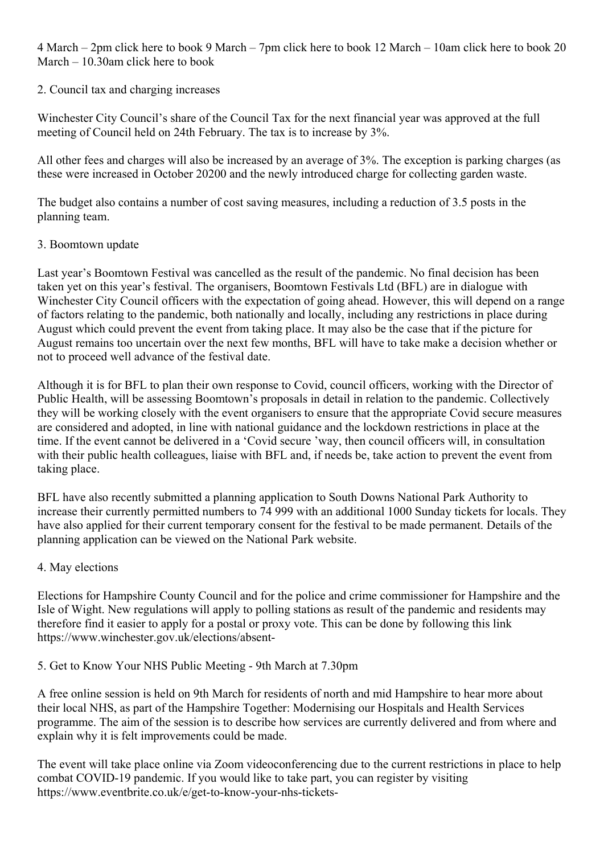4 March – 2pm click here to book 9 March – 7pm click here to book 12 March – 10am click here to book 20 March – 10.30am click here to book

#### 2. Council tax and charging increases

Winchester City Council's share of the Council Tax for the next financial year was approved at the full meeting of Council held on 24th February. The tax is to increase by 3%.

All other fees and charges will also be increased by an average of 3%. The exception is parking charges (as these were increased in October 20200 and the newly introduced charge for collecting garden waste.

The budget also contains a number of cost saving measures, including a reduction of 3.5 posts in the planning team.

#### 3. Boomtown update

Last year's Boomtown Festival was cancelled as the result of the pandemic. No final decision has been taken yet on this year's festival. The organisers, Boomtown Festivals Ltd (BFL) are in dialogue with Winchester City Council officers with the expectation of going ahead. However, this will depend on a range of factors relating to the pandemic, both nationally and locally, including any restrictions in place during August which could prevent the event from taking place. It may also be the case that if the picture for August remains too uncertain over the next few months, BFL will have to take make a decision whether or not to proceed well advance of the festival date.

Although it is for BFL to plan their own response to Covid, council officers, working with the Director of Public Health, will be assessing Boomtown's proposals in detail in relation to the pandemic. Collectively they will be working closely with the event organisers to ensure that the appropriate Covid secure measures are considered and adopted, in line with national guidance and the lockdown restrictions in place at the time. If the event cannot be delivered in a 'Covid secure 'way, then council officers will, in consultation with their public health colleagues, liaise with BFL and, if needs be, take action to prevent the event from taking place.

BFL have also recently submitted a planning application to South Downs National Park Authority to increase their currently permitted numbers to 74 999 with an additional 1000 Sunday tickets for locals. They have also applied for their current temporary consent for the festival to be made permanent. Details of the planning application can be viewed on the National Park website.

## 4. May elections

Elections for Hampshire County Council and for the police and crime commissioner for Hampshire and the Isle of Wight. New regulations will apply to polling stations as result of the pandemic and residents may therefore find it easier to apply for a postal or proxy vote. This can be done by following this link https://www.winchester.gov.uk/elections/absent-

#### 5. Get to Know Your NHS Public Meeting - 9th March at 7.30pm

A free online session is held on 9th March for residents of north and mid Hampshire to hear more about their local NHS, as part of the Hampshire Together: Modernising our Hospitals and Health Services programme. The aim of the session is to describe how services are currently delivered and from where and explain why it is felt improvements could be made.

The event will take place online via Zoom videoconferencing due to the current restrictions in place to help combat COVID-19 pandemic. If you would like to take part, you can register by visiting https://www.eventbrite.co.uk/e/get-to-know-your-nhs-tickets-